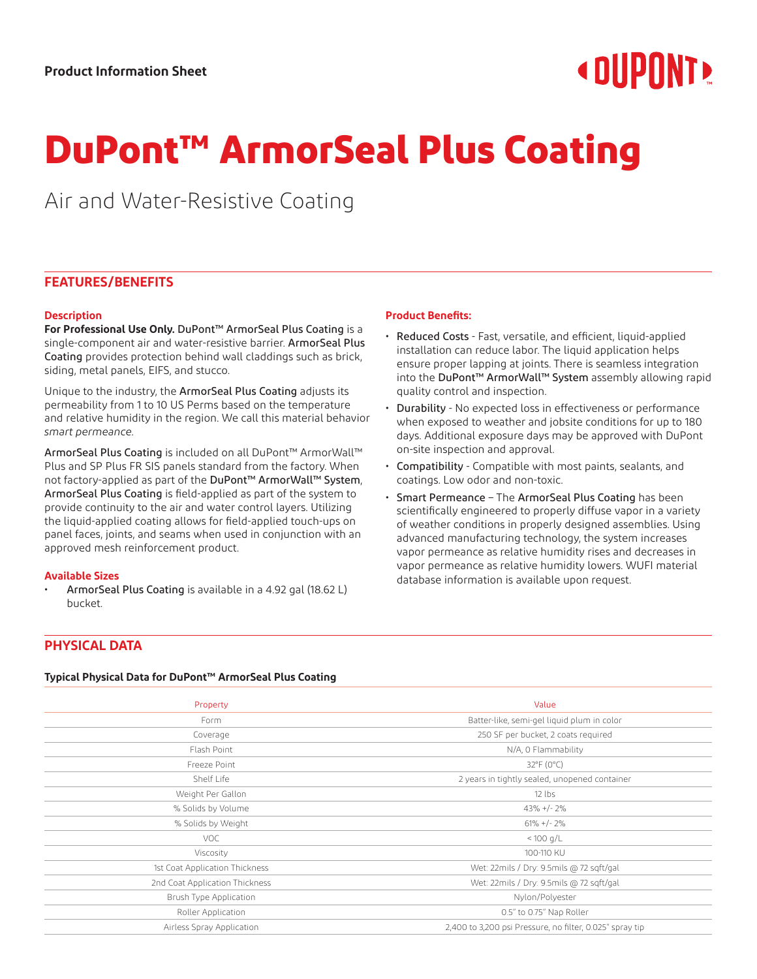# **« DUPNNT»**

# **DuPont™ ArmorSeal Plus Coating**

Air and Water-Resistive Coating

# **FEATURES/BENEFITS**

## **Description**

**For Professional Use Only.** DuPont™ ArmorSeal Plus Coating is a single-component air and water-resistive barrier. ArmorSeal Plus Coating provides protection behind wall claddings such as brick, siding, metal panels, EIFS, and stucco.

Unique to the industry, the ArmorSeal Plus Coating adjusts its permeability from 1 to 10 US Perms based on the temperature and relative humidity in the region. We call this material behavior *smart permeance.*

ArmorSeal Plus Coating is included on all DuPont™ ArmorWall™ Plus and SP Plus FR SIS panels standard from the factory. When not factory-applied as part of the DuPont™ ArmorWall™ System, ArmorSeal Plus Coating is field-applied as part of the system to provide continuity to the air and water control layers. Utilizing the liquid-applied coating allows for field-applied touch-ups on panel faces, joints, and seams when used in conjunction with an approved mesh reinforcement product.

#### **Available Sizes**

• ArmorSeal Plus Coating is available in a 4.92 gal (18.62 L) bucket.

## **Product Benefits:**

- Reduced Costs Fast, versatile, and efficient, liquid-applied installation can reduce labor. The liquid application helps ensure proper lapping at joints. There is seamless integration into the DuPont™ ArmorWall™ System assembly allowing rapid quality control and inspection.
- Durability No expected loss in effectiveness or performance when exposed to weather and jobsite conditions for up to 180 days. Additional exposure days may be approved with DuPont on-site inspection and approval.
- Compatibility Compatible with most paints, sealants, and coatings. Low odor and non-toxic.
- Smart Permeance The ArmorSeal Plus Coating has been scientifically engineered to properly diffuse vapor in a variety of weather conditions in properly designed assemblies. Using advanced manufacturing technology, the system increases vapor permeance as relative humidity rises and decreases in vapor permeance as relative humidity lowers. WUFI material database information is available upon request.

# **PHYSICAL DATA**

### **Typical Physical Data for DuPont™ ArmorSeal Plus Coating**

| Property                       | Value                                                    |  |
|--------------------------------|----------------------------------------------------------|--|
| Form                           | Batter-like, semi-gel liquid plum in color               |  |
| Coverage                       | 250 SF per bucket, 2 coats required                      |  |
| Flash Point                    | N/A, 0 Flammability                                      |  |
| Freeze Point                   | $32^{\circ}F(0^{\circ}C)$                                |  |
| Shelf Life                     | 2 years in tightly sealed, unopened container            |  |
| Weight Per Gallon              | $12$ lbs                                                 |  |
| % Solids by Volume             | $43\% + (-2\%$                                           |  |
| % Solids by Weight             | $61\% + (-2\%$                                           |  |
| <b>VOC</b>                     | $< 100$ g/L                                              |  |
| Viscosity                      | 100-110 KU                                               |  |
| 1st Coat Application Thickness | Wet: 22mils / Dry: 9.5mils @ 72 sqft/gal                 |  |
| 2nd Coat Application Thickness | Wet: 22mils / Dry: 9.5mils @ 72 sqft/gal                 |  |
| Brush Type Application         | Nylon/Polyester                                          |  |
| Roller Application             | 0.5" to 0.75" Nap Roller                                 |  |
| Airless Spray Application      | 2,400 to 3,200 psi Pressure, no filter, 0.025" spray tip |  |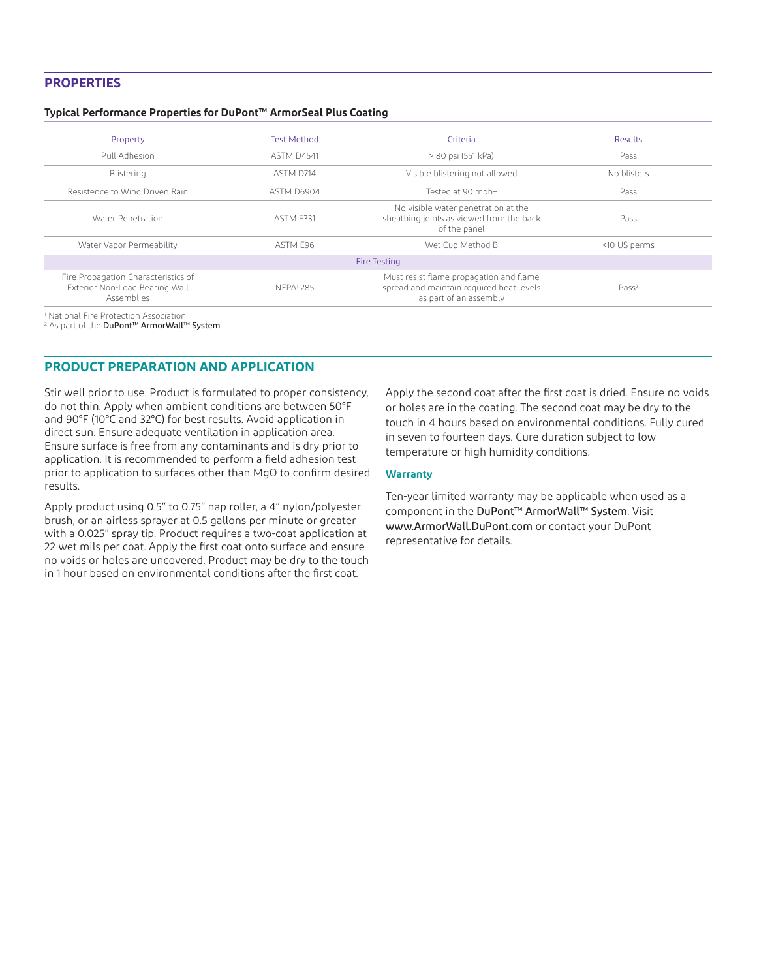# **PROPERTIES**

#### **Typical Performance Properties for DuPont™ ArmorSeal Plus Coating**

| Property                                                                            | <b>Test Method</b> | Criteria                                                                                                      | Results           |
|-------------------------------------------------------------------------------------|--------------------|---------------------------------------------------------------------------------------------------------------|-------------------|
| Pull Adhesion                                                                       | <b>ASTM D4541</b>  | > 80 psi (551 kPa)                                                                                            | Pass              |
| Blistering                                                                          | ASTM D714          | Visible blistering not allowed                                                                                | No blisters       |
| Resistence to Wind Driven Rain                                                      | ASTM D6904         | Tested at 90 mph+                                                                                             | Pass              |
| Water Penetration                                                                   | ASTM F331          | No visible water penetration at the<br>sheathing joints as viewed from the back<br>of the panel               | Pass              |
| Water Vapor Permeability                                                            | ASTM F96           | Wet Cup Method B                                                                                              | <10 US perms      |
|                                                                                     |                    | Fire Testing                                                                                                  |                   |
| Fire Propagation Characteristics of<br>Exterior Non-Load Bearing Wall<br>Assemblies | NFPA1 285          | Must resist flame propagation and flame<br>spread and maintain required heat levels<br>as part of an assembly | Pass <sup>2</sup> |
|                                                                                     |                    |                                                                                                               |                   |

1 National Fire Protection Association 2 As part of the DuPont™ ArmorWall™ System

# **PRODUCT PREPARATION AND APPLICATION**

Stir well prior to use. Product is formulated to proper consistency, do not thin. Apply when ambient conditions are between 50°F and 90°F (10°C and 32°C) for best results. Avoid application in direct sun. Ensure adequate ventilation in application area. Ensure surface is free from any contaminants and is dry prior to application. It is recommended to perform a field adhesion test prior to application to surfaces other than MgO to confirm desired results.

Apply product using 0.5" to 0.75" nap roller, a 4" nylon/polyester brush, or an airless sprayer at 0.5 gallons per minute or greater with a 0.025" spray tip. Product requires a two-coat application at 22 wet mils per coat. Apply the first coat onto surface and ensure no voids or holes are uncovered. Product may be dry to the touch in 1 hour based on environmental conditions after the first coat.

Apply the second coat after the first coat is dried. Ensure no voids or holes are in the coating. The second coat may be dry to the touch in 4 hours based on environmental conditions. Fully cured in seven to fourteen days. Cure duration subject to low temperature or high humidity conditions.

#### **Warranty**

Ten-year limited warranty may be applicable when used as a component in the DuPont™ ArmorWall™ System. Visit www.ArmorWall.DuPont.com or contact your DuPont representative for details.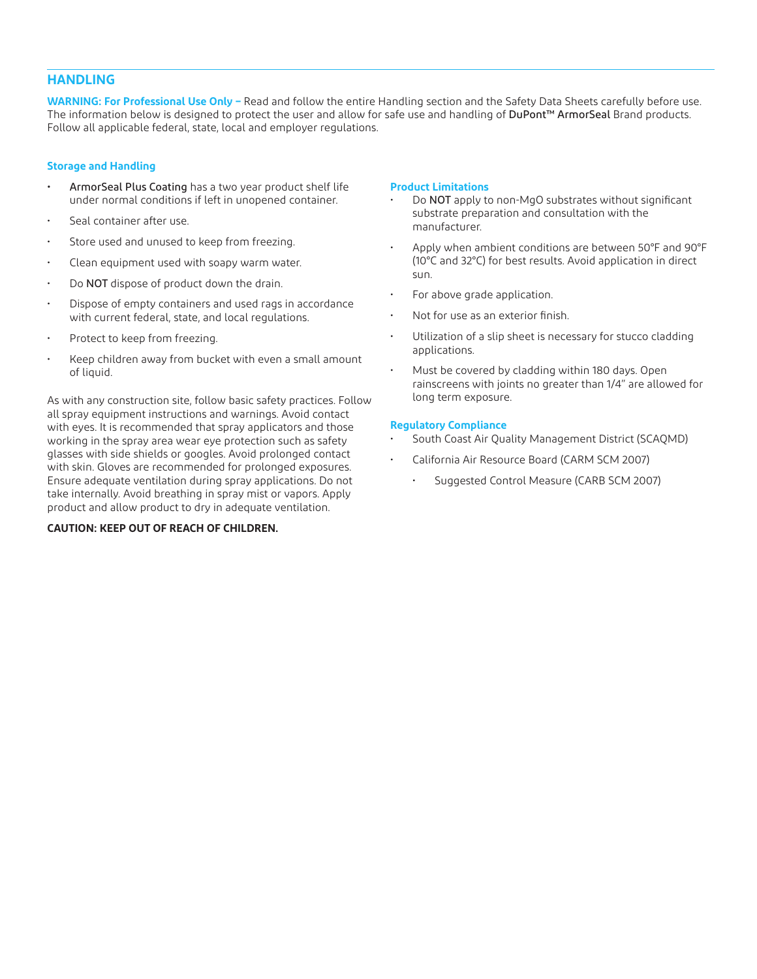# **HANDLING**

**WARNING: For Professional Use Only –** Read and follow the entire Handling section and the Safety Data Sheets carefully before use. The information below is designed to protect the user and allow for safe use and handling of DuPont™ ArmorSeal Brand products. Follow all applicable federal, state, local and employer regulations.

## **Storage and Handling**

- ArmorSeal Plus Coating has a two year product shelf life under normal conditions if left in unopened container.
- Seal container after use.
- Store used and unused to keep from freezing.
- Clean equipment used with soapy warm water.
- Do NOT dispose of product down the drain.
- Dispose of empty containers and used rags in accordance with current federal, state, and local regulations.
- Protect to keep from freezing.
- Keep children away from bucket with even a small amount of liquid.

As with any construction site, follow basic safety practices. Follow all spray equipment instructions and warnings. Avoid contact with eyes. It is recommended that spray applicators and those working in the spray area wear eye protection such as safety glasses with side shields or googles. Avoid prolonged contact with skin. Gloves are recommended for prolonged exposures. Ensure adequate ventilation during spray applications. Do not take internally. Avoid breathing in spray mist or vapors. Apply product and allow product to dry in adequate ventilation.

# **CAUTION: KEEP OUT OF REACH OF CHILDREN.**

## **Product Limitations**

- Do NOT apply to non-MgO substrates without significant substrate preparation and consultation with the manufacturer.
- Apply when ambient conditions are between 50°F and 90°F (10°C and 32°C) for best results. Avoid application in direct sun.
- For above grade application.
- Not for use as an exterior finish.
- Utilization of a slip sheet is necessary for stucco cladding applications.
- Must be covered by cladding within 180 days. Open rainscreens with joints no greater than 1/4" are allowed for long term exposure.

## **Regulatory Compliance**

- South Coast Air Quality Management District (SCAQMD)
- California Air Resource Board (CARM SCM 2007)
	- Suggested Control Measure (CARB SCM 2007)